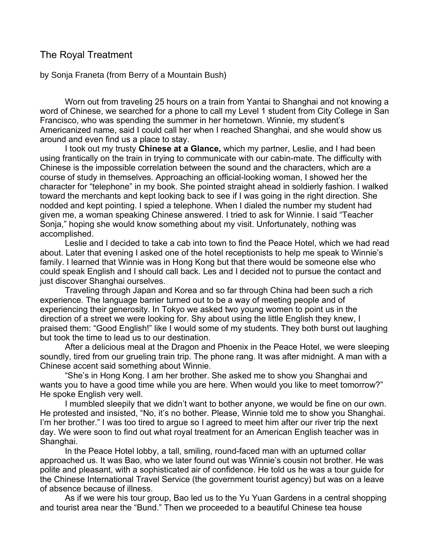## The Royal Treatment

by Sonja Franeta (from Berry of a Mountain Bush)

Worn out from traveling 25 hours on a train from Yantai to Shanghai and not knowing a word of Chinese, we searched for a phone to call my Level 1 student from City College in San Francisco, who was spending the summer in her hometown. Winnie, my student's Americanized name, said I could call her when I reached Shanghai, and she would show us around and even find us a place to stay.

I took out my trusty **Chinese at a Glance,** which my partner, Leslie, and I had been using frantically on the train in trying to communicate with our cabin-mate. The difficulty with Chinese is the impossible correlation between the sound and the characters, which are a course of study in themselves. Approaching an official-looking woman, I showed her the character for "telephone" in my book. She pointed straight ahead in soldierly fashion. I walked toward the merchants and kept looking back to see if I was going in the right direction. She nodded and kept pointing. I spied a telephone. When I dialed the number my student had given me, a woman speaking Chinese answered. I tried to ask for Winnie. I said "Teacher Sonja," hoping she would know something about my visit. Unfortunately, nothing was accomplished.

Leslie and I decided to take a cab into town to find the Peace Hotel, which we had read about. Later that evening I asked one of the hotel receptionists to help me speak to Winnie's family. I learned that Winnie was in Hong Kong but that there would be someone else who could speak English and I should call back. Les and I decided not to pursue the contact and just discover Shanghai ourselves.

Traveling through Japan and Korea and so far through China had been such a rich experience. The language barrier turned out to be a way of meeting people and of experiencing their generosity. In Tokyo we asked two young women to point us in the direction of a street we were looking for. Shy about using the little English they knew, I praised them: "Good English!" like I would some of my students. They both burst out laughing but took the time to lead us to our destination.

After a delicious meal at the Dragon and Phoenix in the Peace Hotel, we were sleeping soundly, tired from our grueling train trip. The phone rang. It was after midnight. A man with a Chinese accent said something about Winnie.

"She's in Hong Kong. I am her brother. She asked me to show you Shanghai and wants you to have a good time while you are here. When would you like to meet tomorrow?" He spoke English very well.

I mumbled sleepily that we didn't want to bother anyone, we would be fine on our own. He protested and insisted, "No, it's no bother. Please, Winnie told me to show you Shanghai. I'm her brother." I was too tired to argue so I agreed to meet him after our river trip the next day. We were soon to find out what royal treatment for an American English teacher was in Shanghai.

In the Peace Hotel lobby, a tall, smiling, round-faced man with an upturned collar approached us. It was Bao, who we later found out was Winnie's cousin not brother. He was polite and pleasant, with a sophisticated air of confidence. He told us he was a tour guide for the Chinese International Travel Service (the government tourist agency) but was on a leave of absence because of illness.

As if we were his tour group, Bao led us to the Yu Yuan Gardens in a central shopping and tourist area near the "Bund." Then we proceeded to a beautiful Chinese tea house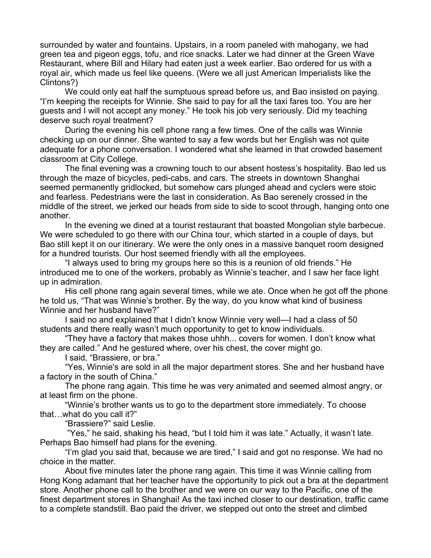surrounded by water and fountains. Upstairs, in a room paneled with mahogany, we had green tea and pigeon eggs, tofu, and rice snacks. Later we had dinner at the Green Wave Restaurant, where Bill and Hilary had eaten just a week earlier. Bao ordered for us with a royal air, which made us feel like queens. (Were we all just American Imperialists like the Clintons?)

We could only eat half the sumptuous spread before us, and Bao insisted on paying. "I'm keeping the receipts for Winnie. She said to pay for all the taxi fares too. You are her guests and I will not accept any money." He took his job very seriously. Did my teaching deserve such royal treatment?

During the evening his cell phone rang a few times. One of the calls was Winnie checking up on our dinner. She wanted to say a few words but her English was not quite adequate for a phone conversation. I wondered what she learned in that crowded basement classroom at City College.

The final evening was a crowning touch to our absent hostess's hospitality. Bao led us through the maze of bicycles, pedi-cabs, and cars. The streets in downtown Shanghai seemed permanently gridlocked, but somehow cars plunged ahead and cyclers were stoic and fearless. Pedestrians were the last in consideration. As Bao serenely crossed in the middle of the street, we jerked our heads from side to side to scoot through, hanging onto one another.

In the evening we dined at a tourist restaurant that boasted Mongolian style barbecue. We were scheduled to go there with our China tour, which started in a couple of days, but Bao still kept it on our itinerary. We were the only ones in a massive banquet room designed for a hundred tourists. Our host seemed friendly with all the employees.

"I always used to bring my groups here so this is a reunion of old friends." He introduced me to one of the workers, probably as Winnie's teacher, and I saw her face light up in admiration.

His cell phone rang again several times, while we ate. Once when he got off the phone he told us, "That was Winnie's brother. By the way, do you know what kind of business Winnie and her husband have?"

I said no and explained that I didn't know Winnie very well—I had a class of 50 students and there really wasn't much opportunity to get to know individuals.

"They have a factory that makes those uhhh... covers for women. I don't know what they are called." And he gestured where, over his chest, the cover might go.

I said, "Brassiere, or bra."

"Yes, Winnie's are sold in all the major department stores. She and her husband have a factory in the south of China."

The phone rang again. This time he was very animated and seemed almost angry, or at least firm on the phone.

"Winnie's brother wants us to go to the department store immediately. To choose that…what do you call it?"

"Brassiere?" said Leslie.

 "Yes," he said, shaking his head, "but I told him it was late." Actually, it wasn't late. Perhaps Bao himself had plans for the evening.

"I'm glad you said that, because we are tired," I said and got no response. We had no choice in the matter.

About five minutes later the phone rang again. This time it was Winnie calling from Hong Kong adamant that her teacher have the opportunity to pick out a bra at the department store. Another phone call to the brother and we were on our way to the Pacific, one of the finest department stores in Shanghai! As the taxi inched closer to our destination, traffic came to a complete standstill. Bao paid the driver, we stepped out onto the street and climbed